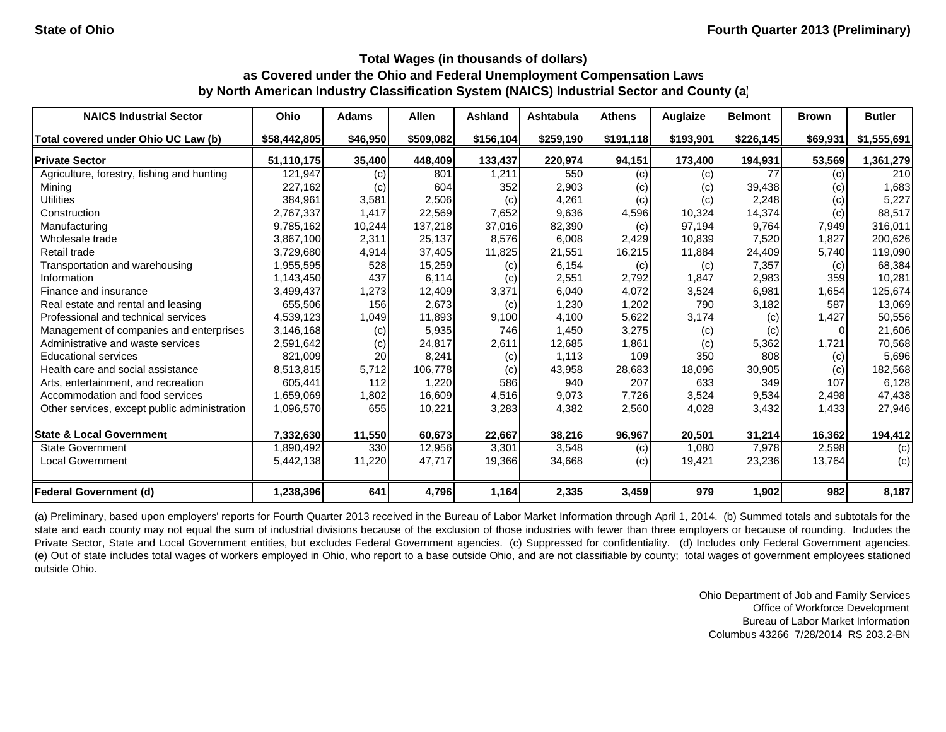| <b>NAICS Industrial Sector</b>               | Ohio         | <b>Adams</b> | <b>Allen</b> | Ashland   | Ashtabula | <b>Athens</b> | Auglaize  | <b>Belmont</b> | <b>Brown</b> | <b>Butler</b> |
|----------------------------------------------|--------------|--------------|--------------|-----------|-----------|---------------|-----------|----------------|--------------|---------------|
| Total covered under Ohio UC Law (b)          | \$58,442,805 | \$46,950     | \$509,082    | \$156,104 | \$259,190 | \$191,118     | \$193,901 | \$226,145      | \$69,931     | \$1,555,691   |
| <b>Private Sector</b>                        | 51,110,175   | 35,400       | 448,409      | 133,437   | 220,974   | 94,151        | 173,400   | 194,931        | 53,569       | 1,361,279     |
| Agriculture, forestry, fishing and hunting   | 121,947      | (c)          | 801          | 1,211     | 550       | (c)           | (c)       | 77             | (c)          | 210           |
| Mining                                       | 227,162      | (c)          | 604          | 352       | 2,903     | (c)           | (c)       | 39,438         | (c)          | 1,683         |
| <b>Utilities</b>                             | 384,961      | 3,581        | 2,506        | (c)       | 4,261     | (c)           | (c)       | 2,248          | (c)          | 5,227         |
| Construction                                 | 2,767,337    | 1,417        | 22.569       | 7,652     | 9.636     | 4,596         | 10,324    | 14,374         | (c)          | 88.517        |
| Manufacturing                                | 9,785,162    | 10,244       | 137,218      | 37,016    | 82,390    | (c)           | 97,194    | 9,764          | 7,949        | 316,011       |
| Wholesale trade                              | 3,867,100    | 2,311        | 25,137       | 8,576     | 6,008     | 2,429         | 10,839    | 7,520          | 1,827        | 200,626       |
| Retail trade                                 | 3,729,680    | 4,914        | 37,405       | 11,825    | 21,551    | 16,215        | 11,884    | 24,409         | 5,740        | 119,090       |
| Transportation and warehousing               | 1,955,595    | 528          | 15,259       | (c)       | 6,154     | (c)           | (c)       | 7,357          | (c)          | 68,384        |
| Information                                  | 1,143,450    | 437          | 6,114        | (c)       | 2,551     | 2,792         | 1,847     | 2,983          | 359          | 10,281        |
| Finance and insurance                        | 3,499,437    | 1,273        | 12,409       | 3,371     | 6,040     | 4,072         | 3,524     | 6,981          | 1,654        | 125,674       |
| Real estate and rental and leasing           | 655,506      | 156          | 2,673        | (c)       | 1,230     | 1,202         | 790       | 3,182          | 587          | 13,069        |
| Professional and technical services          | 4,539,123    | 1,049        | 11,893       | 9,100     | 4,100     | 5,622         | 3,174     | (c)            | 1,427        | 50,556        |
| Management of companies and enterprises      | 3,146,168    | (c)          | 5,935        | 746       | 1,450     | 3,275         | (c)       | (c)            | 0            | 21,606        |
| Administrative and waste services            | 2,591,642    | (c)          | 24,817       | 2,611     | 12,685    | 1,861         | (c)       | 5,362          | 1,721        | 70,568        |
| <b>Educational services</b>                  | 821,009      | 20           | 8,241        | (c)       | 1,113     | 109           | 350       | 808            | (c)          | 5,696         |
| Health care and social assistance            | 8,513,815    | 5,712        | 106,778      | (c)       | 43,958    | 28,683        | 18,096    | 30,905         | (c)          | 182,568       |
| Arts, entertainment, and recreation          | 605,441      | 112          | 1,220        | 586       | 940       | 207           | 633       | 349            | 107          | 6,128         |
| Accommodation and food services              | 1,659,069    | 1,802        | 16,609       | 4,516     | 9,073     | 7,726         | 3,524     | 9,534          | 2,498        | 47,438        |
| Other services, except public administration | 1,096,570    | 655          | 10,221       | 3,283     | 4,382     | 2,560         | 4,028     | 3,432          | 1,433        | 27,946        |
| <b>State &amp; Local Government</b>          | 7,332,630    | 11,550       | 60,673       | 22,667    | 38,216    | 96,967        | 20,501    | 31,214         | 16,362       | 194,412       |
| <b>State Government</b>                      | 1,890,492    | 330          | 12,956       | 3,301     | 3,548     | (c)           | 1,080     | 7,978          | 2,598        | (c)           |
| <b>Local Government</b>                      | 5,442,138    | 11,220       | 47,717       | 19,366    | 34,668    | (c)           | 19,421    | 23,236         | 13,764       | (c)           |
| <b>Federal Government (d)</b>                | 1,238,396    | 641          | 4,796        | 1,164     | 2,335     | 3,459         | 979       | 1,902          | 982          | 8,187         |

(a) Preliminary, based upon employers' reports for Fourth Quarter 2013 received in the Bureau of Labor Market Information through April 1, 2014. (b) Summed totals and subtotals for the state and each county may not equal the sum of industrial divisions because of the exclusion of those industries with fewer than three employers or because of rounding. Includes the Private Sector, State and Local Government entities, but excludes Federal Government agencies. (c) Suppressed for confidentiality. (d) Includes only Federal Government agencies. (e) Out of state includes total wages of workers employed in Ohio, who report to <sup>a</sup> base outside Ohio, and are not classifiable by county; total wages of government employees stationed outside Ohio.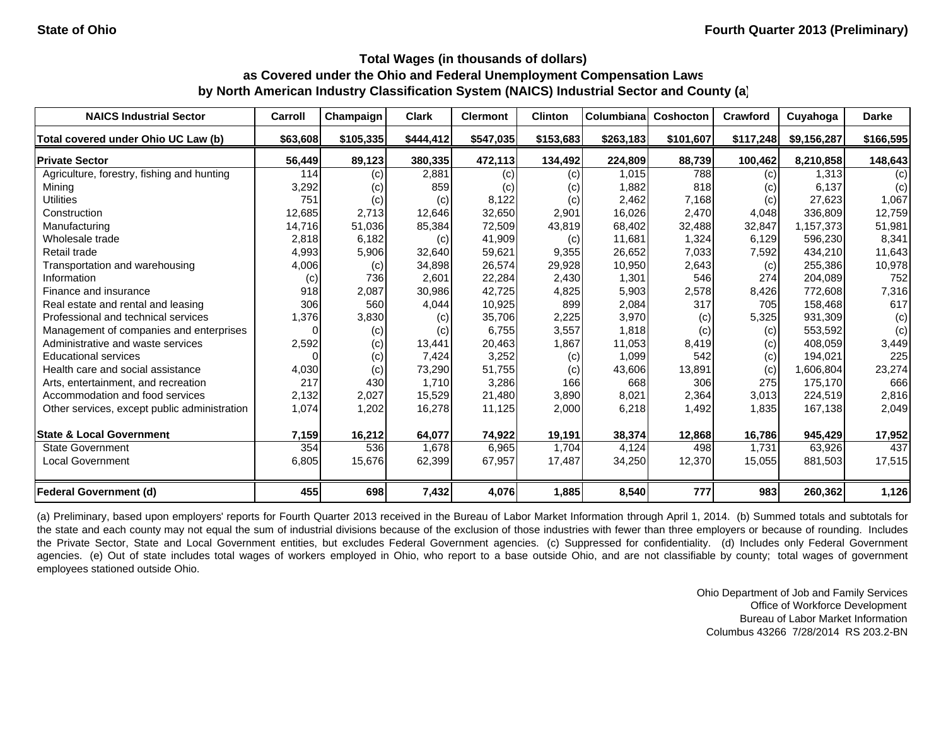| <b>NAICS Industrial Sector</b>               | Carroll  | Champaign | <b>Clark</b> | <b>Clermont</b> | <b>Clinton</b> | <b>Columbiana</b> | <b>Coshocton</b> | <b>Crawford</b> | Cuyahoga    | <b>Darke</b> |
|----------------------------------------------|----------|-----------|--------------|-----------------|----------------|-------------------|------------------|-----------------|-------------|--------------|
| Total covered under Ohio UC Law (b)          | \$63,608 | \$105,335 | \$444,412    | \$547,035       | \$153,683      | \$263,183         | \$101,607        | \$117,248       | \$9,156,287 | \$166,595    |
| <b>Private Sector</b>                        | 56,449   | 89,123    | 380,335      | 472,113         | 134,492        | 224.809           | 88,739           | 100,462         | 8,210,858   | 148,643      |
| Agriculture, forestry, fishing and hunting   | 114      | (c)       | 2,881        | (c)             | (c)            | 1,015             | 788              | (c)             | 1.313       | (c)          |
| Mining                                       | 3,292    | (c)       | 859          | (c)             | (c)            | 1,882             | 818              | (c)             | 6,137       | (c)          |
| <b>Utilities</b>                             | 751      | (c)       | (c)          | 8,122           | (c)            | 2,462             | 7,168            | (c)             | 27,623      | 1,067        |
| Construction                                 | 12,685   | 2,713     | 12,646       | 32,650          | 2,901          | 16,026            | 2,470            | 4,048           | 336,809     | 12,759       |
| Manufacturing                                | 14,716   | 51,036    | 85,384       | 72,509          | 43,819         | 68,402            | 32,488           | 32,847          | 1,157,373   | 51,981       |
| Wholesale trade                              | 2,818    | 6,182     | (c)          | 41,909          | (c)            | 11,681            | 1,324            | 6,129           | 596,230     | 8,341        |
| Retail trade                                 | 4,993    | 5,906     | 32,640       | 59,621          | 9,355          | 26,652            | 7,033            | 7,592           | 434,210     | 11,643       |
| Transportation and warehousing               | 4,006    | (c)       | 34,898       | 26,574          | 29,928         | 10,950            | 2,643            | (c)             | 255,386     | 10,978       |
| Information                                  | (c)      | 736       | 2,601        | 22,284          | 2,430          | 1,301             | 546              | 274             | 204.089     | 752          |
| Finance and insurance                        | 918      | 2,087     | 30,986       | 42,725          | 4,825          | 5,903             | 2,578            | 8,426           | 772,608     | 7,316        |
| Real estate and rental and leasing           | 306      | 560       | 4,044        | 10,925          | 899            | 2,084             | 317              | 705             | 158,468     | 617          |
| Professional and technical services          | 1,376    | 3,830     | (c)          | 35,706          | 2,225          | 3,970             | (c)              | 5,325           | 931,309     | (c)          |
| Management of companies and enterprises      | $\Omega$ | (c)       | (c)          | 6,755           | 3,557          | 1,818             | (c)              | (c)             | 553,592     | (c)          |
| Administrative and waste services            | 2,592    | (c)       | 13,441       | 20,463          | 1,867          | 11,053            | 8,419            | (c)             | 408,059     | 3,449        |
| <b>Educational services</b>                  |          | (c)       | 7,424        | 3,252           | (c)            | 1,099             | 542              | (c)             | 194,021     | 225          |
| Health care and social assistance            | 4,030    | (c)       | 73,290       | 51,755          | (c)            | 43,606            | 13,891           | (c)             | 1,606,804   | 23,274       |
| Arts, entertainment, and recreation          | 217      | 430       | 1.710        | 3,286           | 166            | 668               | 306              | 275             | 175.170     | 666          |
| Accommodation and food services              | 2,132    | 2,027     | 15,529       | 21,480          | 3,890          | 8,021             | 2,364            | 3,013           | 224,519     | 2,816        |
| Other services, except public administration | 1,074    | 1,202     | 16,278       | 11,125          | 2,000          | 6,218             | 1,492            | 1,835           | 167,138     | 2,049        |
| <b>State &amp; Local Government</b>          | 7,159    | 16,212    | 64,077       | 74,922          | 19,191         | 38,374            | 12,868           | 16,786          | 945,429     | 17,952       |
| <b>State Government</b>                      | 354      | 536       | 1,678        | 6,965           | 1,704          | 4,124             | 498              | 1,731           | 63,926      | 437          |
| <b>Local Government</b>                      | 6,805    | 15,676    | 62,399       | 67,957          | 17,487         | 34,250            | 12,370           | 15,055          | 881,503     | 17,515       |
| <b>Federal Government (d)</b>                | 455      | 698       | 7,432        | 4,076           | 1,885          | 8,540             | 777              | 983             | 260,362     | 1,126        |

(a) Preliminary, based upon employers' reports for Fourth Quarter 2013 received in the Bureau of Labor Market Information through April 1, 2014. (b) Summed totals and subtotals for the state and each county may not equal the sum of industrial divisions because of the exclusion of those industries with fewer than three employers or because of rounding. Includes the Private Sector, State and Local Government entities, but excludes Federal Government agencies. (c) Suppressed for confidentiality. (d) Includes only Federal Government agencies. (e) Out of state includes total wages of workers employed in Ohio, who report to a base outside Ohio, and are not classifiable by county; total wages of government employees stationed outside Ohio.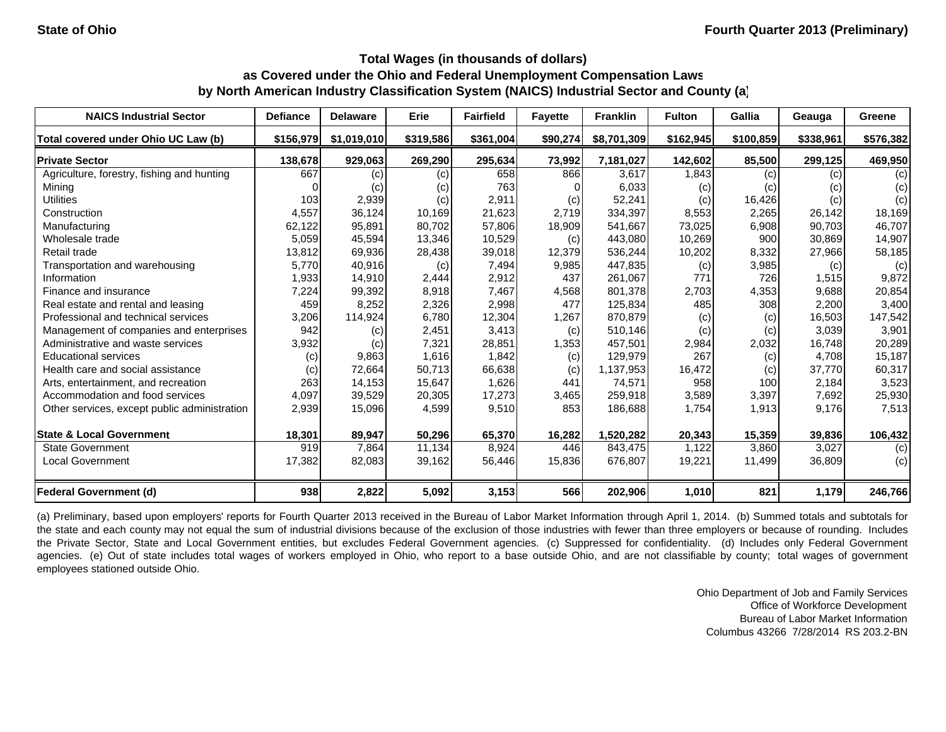| <b>NAICS Industrial Sector</b>               | <b>Defiance</b> | <b>Delaware</b> | Erie      | <b>Fairfield</b> | <b>Favette</b> | <b>Franklin</b> | <b>Fulton</b> | Gallia    | Geauga    | Greene    |
|----------------------------------------------|-----------------|-----------------|-----------|------------------|----------------|-----------------|---------------|-----------|-----------|-----------|
| Total covered under Ohio UC Law (b)          | \$156,979       | \$1,019,010     | \$319,586 | \$361,004        | \$90,274       | \$8,701,309     | \$162,945     | \$100,859 | \$338,961 | \$576,382 |
| <b>Private Sector</b>                        | 138,678         | 929,063         | 269,290   | 295,634          | 73,992         | 7.181.027       | 142,602       | 85,500    | 299,125   | 469,950   |
| Agriculture, forestry, fishing and hunting   | 667             | (c)             | (c)       | 658              | 866            | 3,617           | 1,843         | (c)       | (c)       | (c)       |
| Mining                                       |                 | (c)             | (c)       | 763              |                | 6,033           | (c)           | (c)       | (c)       | (c)       |
| <b>Utilities</b>                             | 103             | 2,939           | (c)       | 2,911            | (c)            | 52,241          | (c)           | 16,426    | (c)       | (c)       |
| Construction                                 | 4,557           | 36,124          | 10,169    | 21,623           | 2.719          | 334.397         | 8,553         | 2,265     | 26.142    | 18,169    |
| Manufacturing                                | 62,122          | 95,891          | 80,702    | 57,806           | 18,909         | 541,667         | 73,025        | 6,908     | 90,703    | 46,707    |
| Wholesale trade                              | 5,059           | 45,594          | 13,346    | 10,529           | (c)            | 443,080         | 10,269        | 900       | 30,869    | 14,907    |
| Retail trade                                 | 13,812          | 69,936          | 28,438    | 39,018           | 12,379         | 536,244         | 10,202        | 8,332     | 27,966    | 58,185    |
| Transportation and warehousing               | 5,770           | 40,916          | (c)       | 7,494            | 9,985          | 447,835         | (c)           | 3,985     | (c)       | (c)       |
| Information                                  | 1,933           | 14,910          | 2,444     | 2,912            | 437            | 261,067         | 771           | 726       | 1,515     | 9,872     |
| Finance and insurance                        | 7,224           | 99,392          | 8,918     | 7,467            | 4,568          | 801,378         | 2,703         | 4,353     | 9.688     | 20,854    |
| Real estate and rental and leasing           | 459             | 8,252           | 2,326     | 2,998            | 477            | 125,834         | 485           | 308       | 2,200     | 3,400     |
| Professional and technical services          | 3,206           | 114,924         | 6,780     | 12,304           | 1,267          | 870,879         | (c)           | (c)       | 16,503    | 147,542   |
| Management of companies and enterprises      | 942             | (c)             | 2,451     | 3,413            | (c)            | 510,146         | (c)           | (c)       | 3,039     | 3,901     |
| Administrative and waste services            | 3,932           | (c)             | 7,321     | 28,851           | 1,353          | 457,501         | 2,984         | 2,032     | 16.748    | 20,289    |
| <b>Educational services</b>                  | (c)             | 9,863           | 1,616     | 1,842            | (c)            | 129,979         | 267           | (c)       | 4.708     | 15,187    |
| Health care and social assistance            | (c)             | 72,664          | 50,713    | 66,638           | (c)            | 1,137,953       | 16,472        | (c)       | 37,770    | 60,317    |
| Arts, entertainment, and recreation          | 263             | 14,153          | 15.647    | 1,626            | 441            | 74,571          | 958           | 100       | 2,184     | 3,523     |
| Accommodation and food services              | 4,097           | 39,529          | 20,305    | 17,273           | 3,465          | 259,918         | 3,589         | 3,397     | 7,692     | 25,930    |
| Other services, except public administration | 2,939           | 15,096          | 4,599     | 9,510            | 853            | 186,688         | 1,754         | 1,913     | 9,176     | 7,513     |
| <b>State &amp; Local Government</b>          | 18,301          | 89,947          | 50,296    | 65,370           | 16,282         | 1,520,282       | 20,343        | 15,359    | 39,836    | 106,432   |
| <b>State Government</b>                      | 919             | 7,864           | 11,134    | 8,924            | 446            | 843,475         | 1,122         | 3,860     | 3,027     | (c)       |
| <b>Local Government</b>                      | 17,382          | 82,083          | 39,162    | 56,446           | 15,836         | 676,807         | 19,221        | 11,499    | 36,809    | (c)       |
| Federal Government (d)                       | 938             | 2,822           | 5,092     | 3,153            | 566            | 202,906         | 1,010         | 821       | 1,179     | 246,766   |

(a) Preliminary, based upon employers' reports for Fourth Quarter 2013 received in the Bureau of Labor Market Information through April 1, 2014. (b) Summed totals and subtotals for the state and each county may not equal the sum of industrial divisions because of the exclusion of those industries with fewer than three employers or because of rounding. Includes the Private Sector, State and Local Government entities, but excludes Federal Government agencies. (c) Suppressed for confidentiality. (d) Includes only Federal Government agencies. (e) Out of state includes total wages of workers employed in Ohio, who report to a base outside Ohio, and are not classifiable by county; total wages of government employees stationed outside Ohio.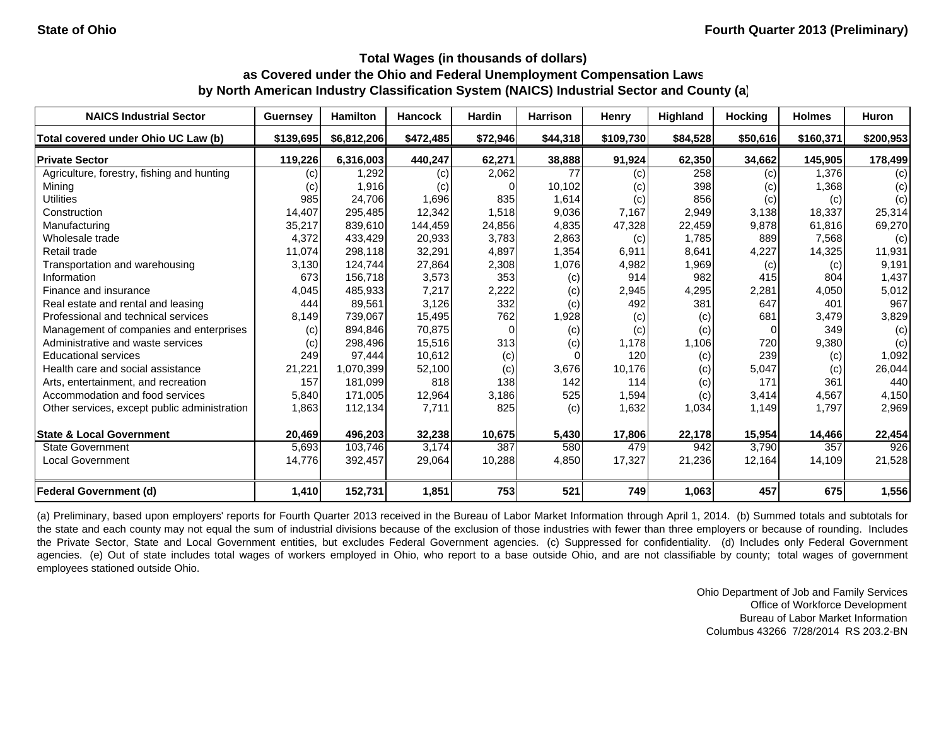| <b>NAICS Industrial Sector</b>               | <b>Guernsey</b>   | <b>Hamilton</b> | <b>Hancock</b> | <b>Hardin</b> | <b>Harrison</b> | Henry     | <b>Highland</b> | <b>Hocking</b> | <b>Holmes</b> | <b>Huron</b> |
|----------------------------------------------|-------------------|-----------------|----------------|---------------|-----------------|-----------|-----------------|----------------|---------------|--------------|
| Total covered under Ohio UC Law (b)          | \$139,695         | \$6,812,206     | \$472,485      | \$72,946      | \$44,318        | \$109,730 | \$84,528        | \$50,616       | \$160,371     | \$200,953    |
| <b>Private Sector</b>                        | 119,226           | 6.316.003       | 440,247        | 62,271        | 38,888          | 91,924    | 62,350          | 34,662         | 145.905       | 178,499      |
| Agriculture, forestry, fishing and hunting   | $\left( c\right)$ | 1,292           | (c)            | 2,062         | 77              | (c)       | 258             | (c)            | 1.376         | (c)          |
| Mining                                       | (C)               | 1,916           | (c)            |               | 10,102          | (c)       | 398             | (c)            | 1,368         | (c)          |
| <b>Utilities</b>                             | 985               | 24,706          | 1,696          | 835           | 1,614           | (c)       | 856             | (c)            | (c)           | (c)          |
| Construction                                 | 14,407            | 295,485         | 12,342         | 1,518         | 9,036           | 7,167     | 2,949           | 3,138          | 18,337        | 25,314       |
| Manufacturing                                | 35,217            | 839,610         | 144,459        | 24,856        | 4,835           | 47,328    | 22,459          | 9,878          | 61,816        | 69,270       |
| Wholesale trade                              | 4,372             | 433,429         | 20,933         | 3,783         | 2,863           | (c)       | 1,785           | 889            | 7,568         | (c)          |
| Retail trade                                 | 11,074            | 298,118         | 32,291         | 4,897         | 1,354           | 6,911     | 8,641           | 4,227          | 14,325        | 11,931       |
| Transportation and warehousing               | 3,130             | 124,744         | 27,864         | 2,308         | 1,076           | 4,982     | 1,969           | (c)            | (c)           | 9,191        |
| Information                                  | 673               | 156,718         | 3,573          | 353           | (c)             | 914       | 982             | 415            | 804           | 1,437        |
| Finance and insurance                        | 4,045             | 485,933         | 7,217          | 2,222         | (c)             | 2,945     | 4,295           | 2,281          | 4,050         | 5,012        |
| Real estate and rental and leasing           | 444               | 89,561          | 3,126          | 332           | (c)             | 492       | 381             | 647            | 401           | 967          |
| Professional and technical services          | 8,149             | 739,067         | 15,495         | 762           | 1,928           | (c)       | (c)             | 681            | 3,479         | 3,829        |
| Management of companies and enterprises      | (c)               | 894,846         | 70,875         | $\Omega$      | (c)             | (c)       | (c)             | $\Omega$       | 349           | (c)          |
| Administrative and waste services            | (c)               | 298,496         | 15,516         | 313           | (c)             | 1,178     | 1,106           | 720            | 9,380         | (c)          |
| <b>Educational services</b>                  | 249               | 97,444          | 10,612         | (c)           |                 | 120       | (c)             | 239            | (c)           | 1,092        |
| Health care and social assistance            | 21,221            | 1,070,399       | 52,100         | (c)           | 3,676           | 10,176    | (c)             | 5,047          | (c)           | 26,044       |
| Arts, entertainment, and recreation          | 157               | 181.099         | 818            | 138           | 142             | 114       | (c)             | 171            | 361           | 440          |
| Accommodation and food services              | 5,840             | 171,005         | 12,964         | 3,186         | 525             | 1,594     | (c)             | 3,414          | 4,567         | 4,150        |
| Other services, except public administration | 1,863             | 112,134         | 7,711          | 825           | (c)             | 1,632     | 1,034           | 1,149          | 1,797         | 2,969        |
| <b>State &amp; Local Government</b>          | 20,469            | 496,203         | 32,238         | 10,675        | 5,430           | 17,806    | 22,178          | 15,954         | 14,466        | 22,454       |
| <b>State Government</b>                      | 5,693             | 103,746         | 3.174          | 387           | 580             | 479       | 942             | 3,790          | 357           | 926          |
| <b>Local Government</b>                      | 14,776            | 392,457         | 29,064         | 10,288        | 4,850           | 17,327    | 21,236          | 12,164         | 14,109        | 21,528       |
| Federal Government (d)                       | 1,410             | 152,731         | 1,851          | 753           | 521             | 749       | 1,063           | 457            | 675           | 1,556        |

(a) Preliminary, based upon employers' reports for Fourth Quarter 2013 received in the Bureau of Labor Market Information through April 1, 2014. (b) Summed totals and subtotals for the state and each county may not equal the sum of industrial divisions because of the exclusion of those industries with fewer than three employers or because of rounding. Includes the Private Sector, State and Local Government entities, but excludes Federal Government agencies. (c) Suppressed for confidentiality. (d) Includes only Federal Government agencies. (e) Out of state includes total wages of workers employed in Ohio, who report to a base outside Ohio, and are not classifiable by county; total wages of government employees stationed outside Ohio.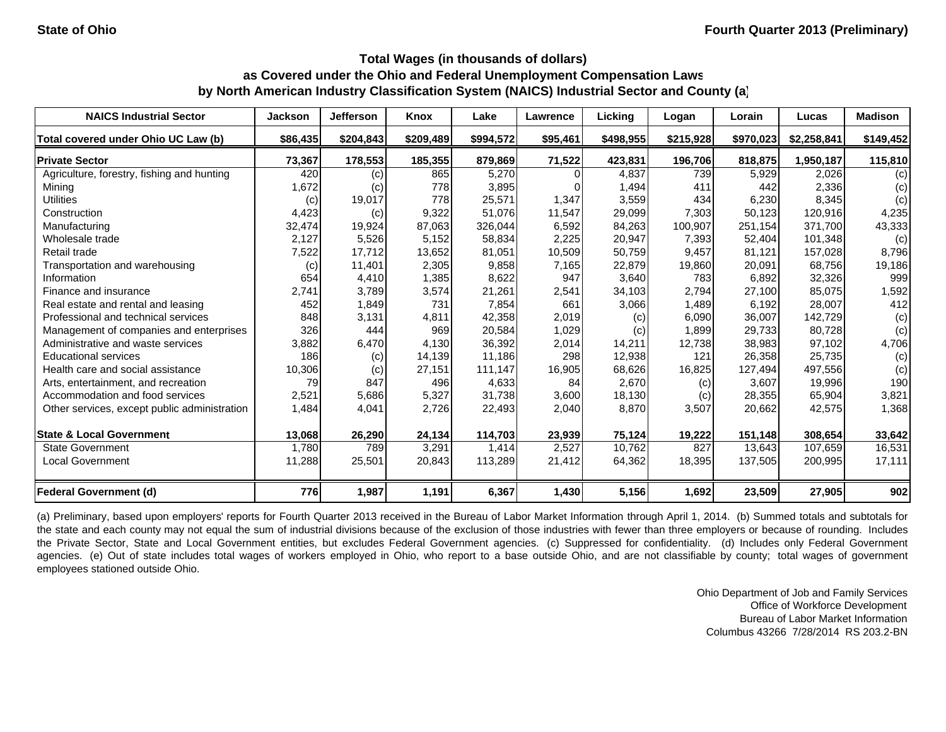| <b>NAICS Industrial Sector</b>               | <b>Jackson</b> | Jefferson | Knox      | Lake               | <b>Lawrence</b> | Licking   | Logan     | Lorain    | Lucas       | <b>Madison</b> |
|----------------------------------------------|----------------|-----------|-----------|--------------------|-----------------|-----------|-----------|-----------|-------------|----------------|
| Total covered under Ohio UC Law (b)          | \$86,435       | \$204,843 | \$209,489 | \$994,572          | \$95,461        | \$498,955 | \$215,928 | \$970,023 | \$2,258,841 | \$149,452      |
| <b>Private Sector</b>                        | 73,367         | 178,553   | 185,355   | 879,869            | 71,522          | 423,831   | 196,706   | 818,875   | 1,950,187   | 115,810        |
| Agriculture, forestry, fishing and hunting   | 420            | (c)       | 865       | 5.270              |                 | 4,837     | 739       | 5,929     | 2,026       | (c)            |
| Mining                                       | 1,672          | (c)       | 778       | 3,895              |                 | 1,494     | 411       | 442       | 2,336       | (c)            |
| <b>Utilities</b>                             | (c)            | 19,017    | 778       | 25,571             | 1,347           | 3,559     | 434       | 6,230     | 8,345       | (c)            |
| Construction                                 | 4,423          | (c)       | 9,322     | 51,076             | 11,547          | 29,099    | 7,303     | 50,123    | 120,916     | 4,235          |
| Manufacturing                                | 32,474         | 19,924    | 87,063    | 326,044            | 6,592           | 84,263    | 100,907   | 251,154   | 371,700     | 43,333         |
| Wholesale trade                              | 2,127          | 5,526     | 5,152     | 58,834             | 2,225           | 20,947    | 7,393     | 52,404    | 101,348     | (c)            |
| Retail trade                                 | 7,522          | 17,712    | 13,652    | 81,051             | 10,509          | 50,759    | 9,457     | 81,121    | 157,028     | 8,796          |
| Transportation and warehousing               | (c)            | 11,401    | 2,305     | 9,858              | 7,165           | 22,879    | 19,860    | 20,091    | 68,756      | 19,186         |
| Information                                  | 654            | 4,410     | 1,385     | 8,622              | 947             | 3,640     | 783       | 6,892     | 32,326      | 999            |
| Finance and insurance                        | 2,741          | 3,789     | 3,574     | 21,261             | 2,541           | 34,103    | 2,794     | 27,100    | 85,075      | 1,592          |
| Real estate and rental and leasing           | 452            | 1,849     | 731       | 7,854              | 661             | 3,066     | 1,489     | 6,192     | 28,007      | 412            |
| Professional and technical services          | 848            | 3,131     | 4,811     | 42,358             | 2,019           | (c)       | 6,090     | 36,007    | 142,729     | (c)            |
| Management of companies and enterprises      | 326            | 444       | 969       | 20,584             | 1,029           | (c)       | 1,899     | 29,733    | 80.728      | (c)            |
| Administrative and waste services            | 3,882          | 6,470     | 4,130     | 36,392             | 2,014           | 14,211    | 12,738    | 38,983    | 97,102      | 4,706          |
| <b>Educational services</b>                  | 186            | (c)       | 14,139    | 11,186             | 298             | 12,938    | 121       | 26,358    | 25,735      | (c)            |
| Health care and social assistance            | 10,306         | (c)       | 27,151    | 111,147            | 16,905          | 68,626    | 16,825    | 127,494   | 497,556     | (c)            |
| Arts, entertainment, and recreation          | 79             | 847       | 496       | 4,633              | 84              | 2,670     | (c)       | 3.607     | 19,996      | 190            |
| Accommodation and food services              | 2,521          | 5,686     | 5,327     | 31,738             | 3,600           | 18,130    | (c)       | 28,355    | 65,904      | 3,821          |
| Other services, except public administration | 1,484          | 4,041     | 2,726     | 22,493             | 2,040           | 8,870     | 3,507     | 20,662    | 42,575      | 1,368          |
| <b>State &amp; Local Government</b>          | 13,068         | 26,290    | 24,134    | 114,703            | 23,939          | 75,124    | 19,222    | 151,148   | 308,654     | 33,642         |
| <b>State Government</b>                      | 1,780          | 789       | 3,291     | $1,41\overline{4}$ | 2,527           | 10.762    | 827       | 13,643    | 107,659     | 16,531         |
| <b>Local Government</b>                      | 11,288         | 25,501    | 20,843    | 113,289            | 21,412          | 64,362    | 18,395    | 137,505   | 200,995     | 17,111         |
| <b>Federal Government (d)</b>                | 776            | 1,987     | 1,191     | 6,367              | 1,430           | 5,156     | 1,692     | 23,509    | 27,905      | 902            |

(a) Preliminary, based upon employers' reports for Fourth Quarter 2013 received in the Bureau of Labor Market Information through April 1, 2014. (b) Summed totals and subtotals for the state and each county may not equal the sum of industrial divisions because of the exclusion of those industries with fewer than three employers or because of rounding. Includes the Private Sector, State and Local Government entities, but excludes Federal Government agencies. (c) Suppressed for confidentiality. (d) Includes only Federal Government agencies. (e) Out of state includes total wages of workers employed in Ohio, who report to a base outside Ohio, and are not classifiable by county; total wages of government employees stationed outside Ohio.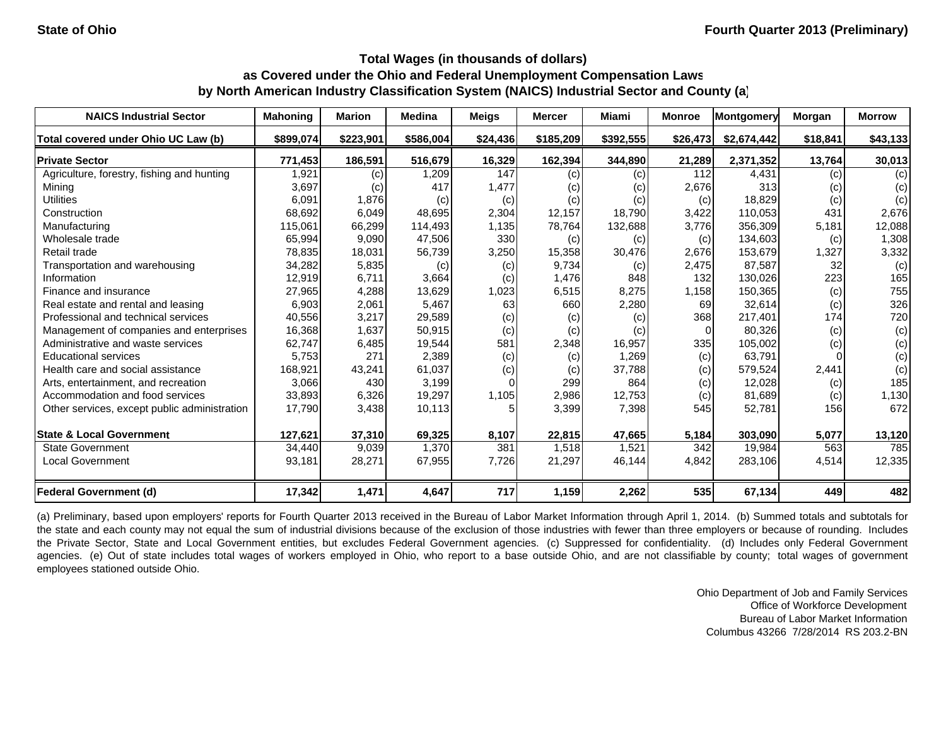| <b>NAICS Industrial Sector</b>               | <b>Mahoning</b> | <b>Marion</b> | <b>Medina</b> | Meigs    | <b>Mercer</b> | <b>Miami</b> | <b>Monroe</b>  | Montgomery  | Morgan   | <b>Morrow</b> |
|----------------------------------------------|-----------------|---------------|---------------|----------|---------------|--------------|----------------|-------------|----------|---------------|
| Total covered under Ohio UC Law (b)          | \$899,074       | \$223,901     | \$586,004     | \$24,436 | \$185,209     | \$392,555    | \$26,473       | \$2,674,442 | \$18,841 | \$43,133      |
| <b>Private Sector</b>                        | 771,453         | 186,591       | 516,679       | 16,329   | 162,394       | 344,890      | 21,289         | 2,371,352   | 13,764   | 30,013        |
| Agriculture, forestry, fishing and hunting   | 1,921           | (c)           | 1,209         | 147      | (c)           | (c)          | 112            | 4,431       | (c)      | (c)           |
| Mining                                       | 3,697           | (c)           | 417           | 1,477    | (c)           | (c)          | 2,676          | 313         | (c)      | (c)           |
| <b>Utilities</b>                             | 6,091           | 1,876         | (c)           | (c)      | (c)           | (c)          | (c)            | 18,829      | (c)      | (c)           |
| Construction                                 | 68,692          | 6,049         | 48,695        | 2,304    | 12.157        | 18.790       | 3,422          | 110.053     | 431      | 2,676         |
| Manufacturing                                | 115,061         | 66,299        | 114,493       | 1,135    | 78,764        | 132,688      | 3,776          | 356,309     | 5,181    | 12,088        |
| Wholesale trade                              | 65,994          | 9,090         | 47,506        | 330      | (c)           | (c)          | (c)            | 134,603     | (c)      | 1,308         |
| Retail trade                                 | 78,835          | 18,031        | 56,739        | 3,250    | 15,358        | 30,476       | 2,676          | 153,679     | 1,327    | 3,332         |
| Transportation and warehousing               | 34,282          | 5,835         | (c)           | (c)      | 9,734         | (c)          | 2,475          | 87,587      | 32       | (c)           |
| Information                                  | 12,919          | 6,711         | 3,664         | (c)      | 1,476         | 848          | 132            | 130,026     | 223      | 165           |
| Finance and insurance                        | 27,965          | 4,288         | 13,629        | 1,023    | 6,515         | 8,275        | 1,158          | 150,365     | (c)      | 755           |
| Real estate and rental and leasing           | 6,903           | 2,061         | 5,467         | 63       | 660           | 2,280        | 69             | 32,614      | (c)      | 326           |
| Professional and technical services          | 40,556          | 3,217         | 29,589        | (c)      | (c)           | (c)          | 368            | 217,401     | 174      | 720           |
| Management of companies and enterprises      | 16,368          | 1,637         | 50,915        | (c)      | (c)           | (c)          | $\overline{0}$ | 80,326      | (c)      | (c)           |
| Administrative and waste services            | 62,747          | 6,485         | 19,544        | 581      | 2,348         | 16,957       | 335            | 105,002     | (c)      | (c)           |
| <b>Educational services</b>                  | 5,753           | 271           | 2,389         | (c)      | (c)           | 1,269        | (c)            | 63,791      |          | (c)           |
| Health care and social assistance            | 168,921         | 43,241        | 61,037        | (c)      | (c)           | 37,788       | (c)            | 579,524     | 2,441    | (c)           |
| Arts, entertainment, and recreation          | 3,066           | 430           | 3,199         |          | 299           | 864          | (c)            | 12,028      | (c)      | 185           |
| Accommodation and food services              | 33,893          | 6,326         | 19,297        | 1,105    | 2,986         | 12,753       | (c)            | 81,689      | (c)      | 1,130         |
| Other services, except public administration | 17,790          | 3,438         | 10,113        |          | 3,399         | 7,398        | 545            | 52,781      | 156      | 672           |
| <b>State &amp; Local Government</b>          | 127,621         | 37,310        | 69,325        | 8,107    | 22,815        | 47,665       | 5,184          | 303,090     | 5,077    | 13,120        |
| <b>State Government</b>                      | 34,440          | 9,039         | 1,370         | 381      | 1,518         | 1,521        | 342            | 19,984      | 563      | 785           |
| <b>Local Government</b>                      | 93,181          | 28,271        | 67,955        | 7,726    | 21,297        | 46,144       | 4,842          | 283,106     | 4,514    | 12,335        |
| Federal Government (d)                       | 17,342          | 1,471         | 4,647         | 717      | 1,159         | 2,262        | 535            | 67,134      | 449      | 482           |

(a) Preliminary, based upon employers' reports for Fourth Quarter 2013 received in the Bureau of Labor Market Information through April 1, 2014. (b) Summed totals and subtotals for the state and each county may not equal the sum of industrial divisions because of the exclusion of those industries with fewer than three employers or because of rounding. Includes the Private Sector, State and Local Government entities, but excludes Federal Government agencies. (c) Suppressed for confidentiality. (d) Includes only Federal Government agencies. (e) Out of state includes total wages of workers employed in Ohio, who report to a base outside Ohio, and are not classifiable by county; total wages of government employees stationed outside Ohio.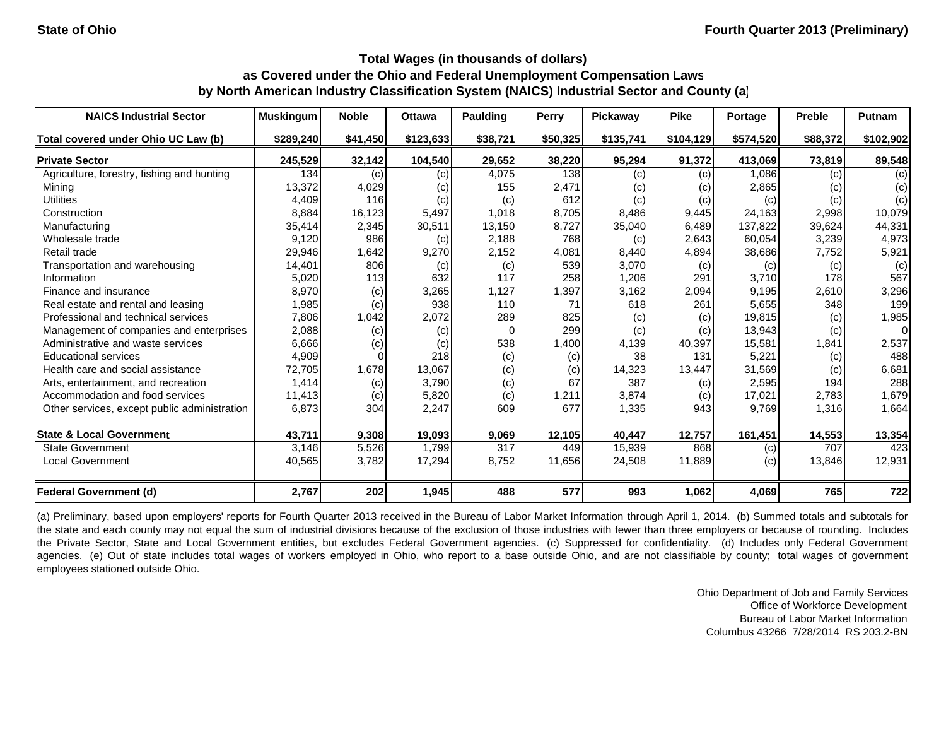| <b>NAICS Industrial Sector</b>               | <b>Muskingum</b> | <b>Noble</b> | <b>Ottawa</b> | <b>Paulding</b> | <b>Perry</b> | Pickaway  | <b>Pike</b> | Portage   | <b>Preble</b> | <b>Putnam</b> |
|----------------------------------------------|------------------|--------------|---------------|-----------------|--------------|-----------|-------------|-----------|---------------|---------------|
| Total covered under Ohio UC Law (b)          | \$289,240        | \$41,450     | \$123,633     | \$38,721        | \$50,325     | \$135,741 | \$104,129   | \$574,520 | \$88,372      | \$102,902     |
| <b>Private Sector</b>                        | 245,529          | 32,142       | 104,540       | 29,652          | 38,220       | 95,294    | 91,372      | 413,069   | 73,819        | 89,548        |
| Agriculture, forestry, fishing and hunting   | 134              | (c)          | (c)           | 4,075           | 138          | (c)       | (c)         | 1,086     | (c)           | (c)           |
| Mining                                       | 13,372           | 4,029        | (c)           | 155             | 2,471        | (c)       | (c)         | 2,865     | (c)           | (c)           |
| <b>Utilities</b>                             | 4,409            | 116          | (c)           | (c)             | 612          | (c)       | (c)         | (c)       | (c)           | (c)           |
| Construction                                 | 8,884            | 16,123       | 5,497         | 1.018           | 8,705        | 8,486     | 9,445       | 24,163    | 2,998         | 10,079        |
| Manufacturing                                | 35,414           | 2,345        | 30,511        | 13,150          | 8,727        | 35,040    | 6,489       | 137,822   | 39,624        | 44,331        |
| Wholesale trade                              | 9,120            | 986          | (c)           | 2,188           | 768          | (c)       | 2,643       | 60,054    | 3,239         | 4,973         |
| Retail trade                                 | 29,946           | 1,642        | 9,270         | 2,152           | 4,081        | 8,440     | 4,894       | 38,686    | 7,752         | 5,921         |
| Transportation and warehousing               | 14,401           | 806          | (c)           | (c)             | 539          | 3,070     | (c)         | (c)       | (c)           | (c)           |
| Information                                  | 5,020            | 113          | 632           | 117             | 258          | 1,206     | 291         | 3,710     | 178           | 567           |
| Finance and insurance                        | 8,970            | (c)          | 3,265         | 1,127           | 1,397        | 3,162     | 2,094       | 9,195     | 2,610         | 3,296         |
| Real estate and rental and leasing           | 1,985            | (c)          | 938           | 110             | 71           | 618       | 261         | 5,655     | 348           | 199           |
| Professional and technical services          | 7,806            | 1,042        | 2,072         | 289             | 825          | (c)       | (c)         | 19,815    | (c)           | 1,985         |
| Management of companies and enterprises      | 2,088            | (c)          | (c)           | $\Omega$        | 299          | (c)       | (c)         | 13,943    | (c)           | $\Omega$      |
| Administrative and waste services            | 6,666            | (c)          | (c)           | 538             | 1,400        | 4,139     | 40,397      | 15,581    | 1,841         | 2,537         |
| <b>Educational services</b>                  | 4,909            |              | 218           | (c)             | (c)          | 38        | 131         | 5,221     | (c)           | 488           |
| Health care and social assistance            | 72,705           | 1,678        | 13,067        | (c)             | (c)          | 14,323    | 13,447      | 31,569    | (c)           | 6,681         |
| Arts, entertainment, and recreation          | 1,414            | (c)          | 3,790         | (c)             | 67           | 387       | (c)         | 2,595     | 194           | 288           |
| Accommodation and food services              | 11,413           | (c)          | 5,820         | (c)             | 1,211        | 3,874     | (c)         | 17,021    | 2,783         | 1,679         |
| Other services, except public administration | 6,873            | 304          | 2,247         | 609             | 677          | 1,335     | 943         | 9,769     | 1,316         | 1,664         |
| <b>State &amp; Local Government</b>          | 43,711           | 9,308        | 19,093        | 9,069           | 12,105       | 40,447    | 12,757      | 161,451   | 14,553        | 13,354        |
| <b>State Government</b>                      | 3,146            | 5,526        | 1.799         | 317             | 449          | 15,939    | 868         | (c)       | 707           | 423           |
| <b>Local Government</b>                      | 40,565           | 3,782        | 17,294        | 8,752           | 11,656       | 24,508    | 11,889      | (c)       | 13,846        | 12,931        |
| <b>Federal Government (d)</b>                | 2,767            | 202          | 1,945         | 488             | 577          | 993       | 1,062       | 4,069     | 765           | 722           |

(a) Preliminary, based upon employers' reports for Fourth Quarter 2013 received in the Bureau of Labor Market Information through April 1, 2014. (b) Summed totals and subtotals for the state and each county may not equal the sum of industrial divisions because of the exclusion of those industries with fewer than three employers or because of rounding. Includes the Private Sector, State and Local Government entities, but excludes Federal Government agencies. (c) Suppressed for confidentiality. (d) Includes only Federal Government agencies. (e) Out of state includes total wages of workers employed in Ohio, who report to a base outside Ohio, and are not classifiable by county; total wages of government employees stationed outside Ohio.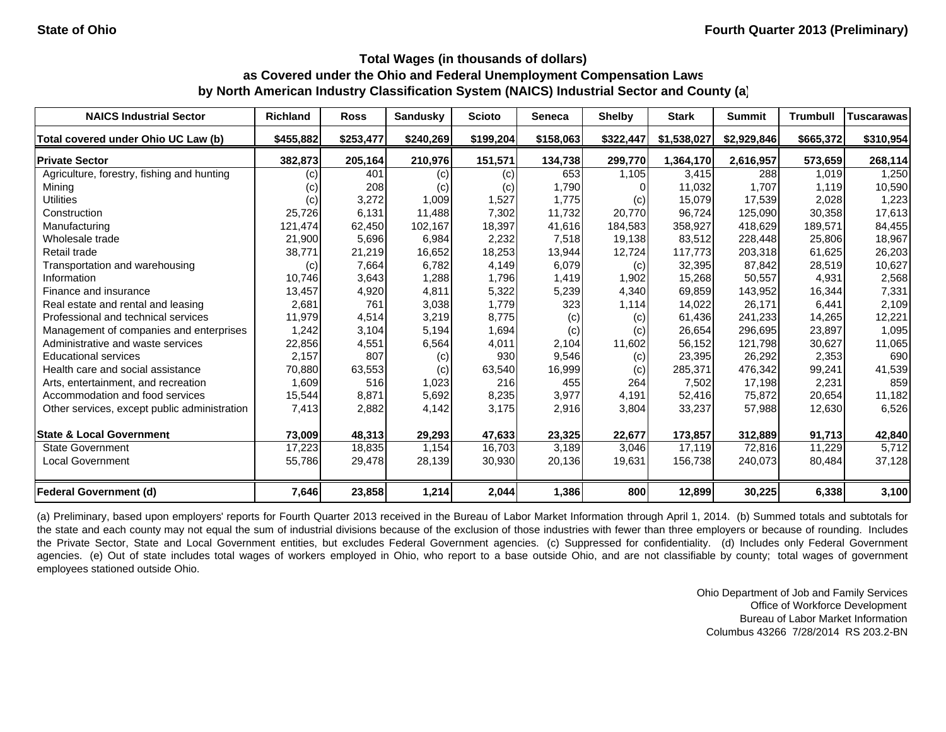| <b>NAICS Industrial Sector</b>               | <b>Richland</b> | <b>Ross</b> | <b>Sandusky</b> | <b>Scioto</b> | Seneca    | <b>Shelby</b> | <b>Stark</b> | <b>Summit</b> | <b>Trumbull</b> | <b>Tuscarawas</b> |
|----------------------------------------------|-----------------|-------------|-----------------|---------------|-----------|---------------|--------------|---------------|-----------------|-------------------|
| Total covered under Ohio UC Law (b)          | \$455,882       | \$253,477   | \$240,269       | \$199,204     | \$158,063 | \$322,447     | \$1,538,027  | \$2,929,846   | \$665,372       | \$310,954         |
| <b>Private Sector</b>                        | 382,873         | 205,164     | 210,976         | 151,571       | 134,738   | 299,770       | 1,364,170    | 2,616,957     | 573,659         | 268,114           |
| Agriculture, forestry, fishing and hunting   | (c)             | 401         | (c)             | (c)           | 653       | 1,105         | 3,415        | 288           | 1,019           | 1,250             |
| Mining                                       | (c)             | 208         | (c)             | (c)           | 1,790     |               | 11,032       | 1.707         | 1.119           | 10,590            |
| <b>Utilities</b>                             | (c)             | 3,272       | 1,009           | 1,527         | 1,775     | (c)           | 15,079       | 17,539        | 2,028           | 1,223             |
| Construction                                 | 25,726          | 6,131       | 11.488          | 7,302         | 11.732    | 20,770        | 96,724       | 125.090       | 30.358          | 17,613            |
| Manufacturing                                | 121,474         | 62,450      | 102,167         | 18,397        | 41,616    | 184,583       | 358,927      | 418,629       | 189,571         | 84,455            |
| Wholesale trade                              | 21,900          | 5,696       | 6,984           | 2,232         | 7,518     | 19,138        | 83,512       | 228,448       | 25,806          | 18,967            |
| Retail trade                                 | 38,771          | 21,219      | 16,652          | 18,253        | 13,944    | 12,724        | 117,773      | 203,318       | 61,625          | 26,203            |
| Transportation and warehousing               | (c)             | 7,664       | 6,782           | 4,149         | 6,079     | (c)           | 32,395       | 87,842        | 28,519          | 10,627            |
| Information                                  | 10,746          | 3,643       | 1,288           | 1,796         | 1,419     | 1,902         | 15,268       | 50,557        | 4,931           | 2,568             |
| Finance and insurance                        | 13,457          | 4,920       | 4,811           | 5,322         | 5,239     | 4,340         | 69,859       | 143,952       | 16,344          | 7,331             |
| Real estate and rental and leasing           | 2,681           | 761         | 3,038           | 1,779         | 323       | 1,114         | 14,022       | 26,171        | 6,441           | 2,109             |
| Professional and technical services          | 11,979          | 4,514       | 3,219           | 8,775         | (c)       | (c)           | 61,436       | 241,233       | 14,265          | 12,221            |
| Management of companies and enterprises      | 1,242           | 3,104       | 5,194           | 1,694         | (c)       | (c)           | 26,654       | 296,695       | 23,897          | 1,095             |
| Administrative and waste services            | 22,856          | 4,551       | 6,564           | 4,011         | 2,104     | 11,602        | 56,152       | 121,798       | 30,627          | 11,065            |
| <b>Educational services</b>                  | 2,157           | 807         | (c)             | 930           | 9,546     | (c)           | 23,395       | 26,292        | 2,353           | 690               |
| Health care and social assistance            | 70,880          | 63,553      | (c)             | 63,540        | 16,999    | (c)           | 285,371      | 476,342       | 99,241          | 41,539            |
| Arts, entertainment, and recreation          | 1,609           | 516         | 1,023           | 216           | 455       | 264           | 7,502        | 17,198        | 2,231           | 859               |
| Accommodation and food services              | 15,544          | 8,871       | 5,692           | 8,235         | 3,977     | 4,191         | 52,416       | 75,872        | 20,654          | 11,182            |
| Other services, except public administration | 7,413           | 2,882       | 4,142           | 3,175         | 2,916     | 3,804         | 33,237       | 57,988        | 12,630          | 6,526             |
| <b>State &amp; Local Government</b>          | 73,009          | 48,313      | 29,293          | 47,633        | 23,325    | 22,677        | 173,857      | 312,889       | 91,713          | 42,840            |
| <b>State Government</b>                      | 17,223          | 18,835      | 1,154           | 16,703        | 3,189     | 3,046         | 17,119       | 72,816        | 11,229          | 5,712             |
| <b>Local Government</b>                      | 55,786          | 29,478      | 28,139          | 30,930        | 20,136    | 19,631        | 156,738      | 240,073       | 80,484          | 37,128            |
| <b>Federal Government (d)</b>                | 7,646           | 23,858      | 1,214           | 2,044         | 1,386     | 800           | 12,899       | 30,225        | 6,338           | 3,100             |

(a) Preliminary, based upon employers' reports for Fourth Quarter 2013 received in the Bureau of Labor Market Information through April 1, 2014. (b) Summed totals and subtotals for the state and each county may not equal the sum of industrial divisions because of the exclusion of those industries with fewer than three employers or because of rounding. Includes the Private Sector, State and Local Government entities, but excludes Federal Government agencies. (c) Suppressed for confidentiality. (d) Includes only Federal Government agencies. (e) Out of state includes total wages of workers employed in Ohio, who report to a base outside Ohio, and are not classifiable by county; total wages of government employees stationed outside Ohio.